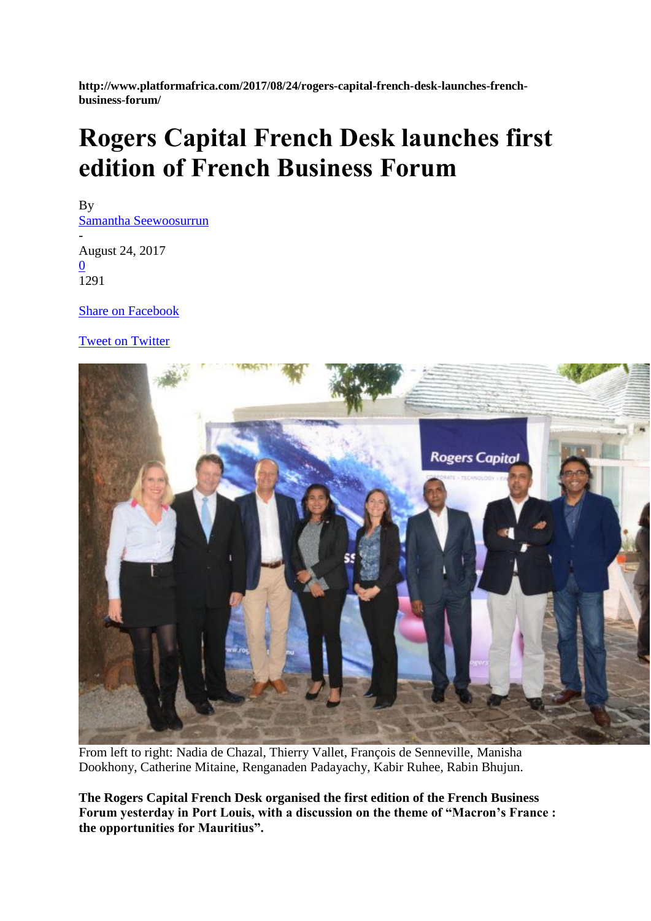**http://www.platformafrica.com/2017/08/24/rogers-capital-french-desk-launches-frenchbusiness-forum/**

## **Rogers Capital French Desk launches first edition of French Business Forum**

By [Samantha Seewoosurrun](http://www.platformafrica.com/author/samantha/) - August 24, 2017 [0](http://www.platformafrica.com/2017/08/24/rogers-capital-french-desk-launches-french-business-forum/#respond) [1291](http://www.facebook.com/sharer.php?u=http%3A%2F%2Fwww.platformafrica.com%2F2017%2F08%2F24%2Frogers-capital-french-desk-launches-french-business-forum%2F)

[Share on Facebook](http://www.facebook.com/sharer.php?u=http%3A%2F%2Fwww.platformafrica.com%2F2017%2F08%2F24%2Frogers-capital-french-desk-launches-french-business-forum%2F)

[Tweet on Twitter](https://twitter.com/intent/tweet?text=Rogers+Capital+French+Desk+launches+first+edition+of+French+Business+Forum&url=http%3A%2F%2Fwww.platformafrica.com%2F2017%2F08%2F24%2Frogers-capital-french-desk-launches-french-business-forum%2F&via=Platform+Africa)



From left to right: Nadia de Chazal, Thierry Vallet, François de Senneville, Manisha Dookhony, Catherine Mitaine, Renganaden Padayachy, Kabir Ruhee, Rabin Bhujun.

**The Rogers Capital French Desk organised the first edition of the French Business Forum yesterday in Port Louis, with a discussion on the theme of "Macron's France : the opportunities for Mauritius".**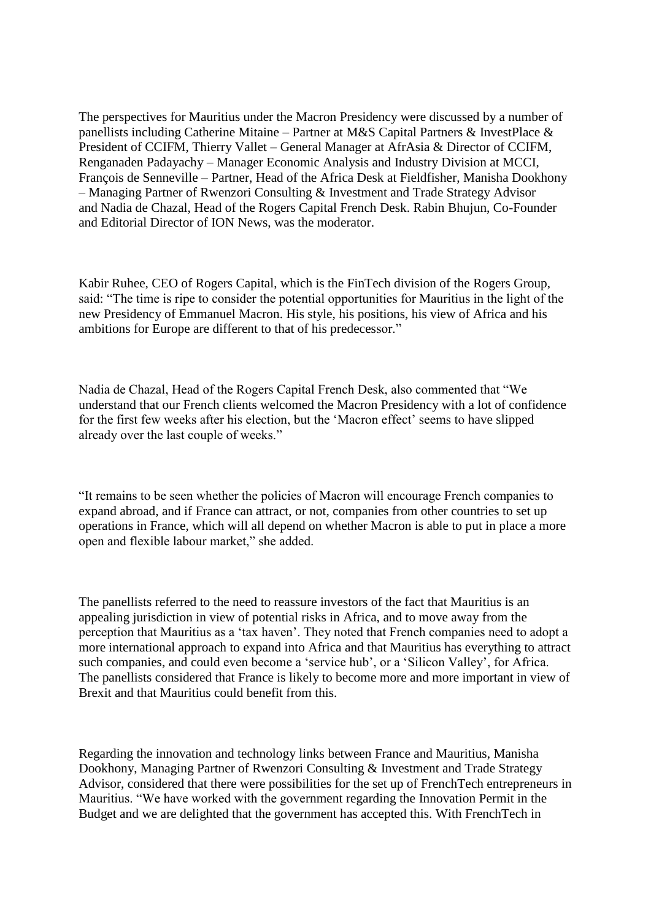The perspectives for Mauritius under the Macron Presidency were discussed by a number of panellists including Catherine Mitaine – Partner at M&S Capital Partners & InvestPlace & President of CCIFM, Thierry Vallet – General Manager at AfrAsia & Director of CCIFM, Renganaden Padayachy – Manager Economic Analysis and Industry Division at MCCI, François de Senneville – Partner, Head of the Africa Desk at Fieldfisher, Manisha Dookhony – Managing Partner of Rwenzori Consulting & Investment and Trade Strategy Advisor and Nadia de Chazal, Head of the Rogers Capital French Desk. Rabin Bhujun, Co-Founder and Editorial Director of ION News, was the moderator.

Kabir Ruhee, CEO of Rogers Capital, which is the FinTech division of the Rogers Group, said: "The time is ripe to consider the potential opportunities for Mauritius in the light of the new Presidency of Emmanuel Macron. His style, his positions, his view of Africa and his ambitions for Europe are different to that of his predecessor."

Nadia de Chazal, Head of the Rogers Capital French Desk, also commented that "We understand that our French clients welcomed the Macron Presidency with a lot of confidence for the first few weeks after his election, but the 'Macron effect' seems to have slipped already over the last couple of weeks."

"It remains to be seen whether the policies of Macron will encourage French companies to expand abroad, and if France can attract, or not, companies from other countries to set up operations in France, which will all depend on whether Macron is able to put in place a more open and flexible labour market," she added.

The panellists referred to the need to reassure investors of the fact that Mauritius is an appealing jurisdiction in view of potential risks in Africa, and to move away from the perception that Mauritius as a 'tax haven'. They noted that French companies need to adopt a more international approach to expand into Africa and that Mauritius has everything to attract such companies, and could even become a 'service hub', or a 'Silicon Valley', for Africa. The panellists considered that France is likely to become more and more important in view of Brexit and that Mauritius could benefit from this.

Regarding the innovation and technology links between France and Mauritius, Manisha Dookhony, Managing Partner of Rwenzori Consulting & Investment and Trade Strategy Advisor, considered that there were possibilities for the set up of FrenchTech entrepreneurs in Mauritius. "We have worked with the government regarding the Innovation Permit in the Budget and we are delighted that the government has accepted this. With FrenchTech in